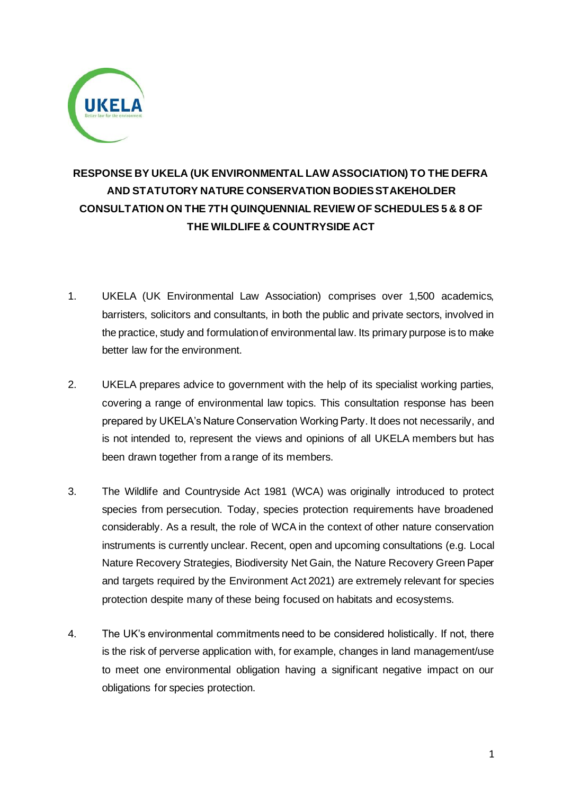

# **RESPONSE BY UKELA (UK ENVIRONMENTAL LAW ASSOCIATION) TO THE DEFRA AND STATUTORY NATURE CONSERVATION BODIES STAKEHOLDER CONSULTATION ON THE 7TH QUINQUENNIAL REVIEW OF SCHEDULES 5 & 8 OF THE WILDLIFE & COUNTRYSIDE ACT**

- 1. UKELA (UK Environmental Law Association) comprises over 1,500 academics, barristers, solicitors and consultants, in both the public and private sectors, involved in the practice, study and formulation of environmental law. Its primary purpose is to make better law for the environment.
- 2. UKELA prepares advice to government with the help of its specialist working parties, covering a range of environmental law topics. This consultation response has been prepared by UKELA's Nature Conservation Working Party. It does not necessarily, and is not intended to, represent the views and opinions of all UKELA members but has been drawn together from a range of its members.
- 3. The Wildlife and Countryside Act 1981 (WCA) was originally introduced to protect species from persecution. Today, species protection requirements have broadened considerably. As a result, the role of WCA in the context of other nature conservation instruments is currently unclear. Recent, open and upcoming consultations (e.g. Local Nature Recovery Strategies, Biodiversity Net Gain, the Nature Recovery Green Paper and targets required by the Environment Act 2021) are extremely relevant for species protection despite many of these being focused on habitats and ecosystems.
- 4. The UK's environmental commitments need to be considered holistically. If not, there is the risk of perverse application with, for example, changes in land management/use to meet one environmental obligation having a significant negative impact on our obligations for species protection.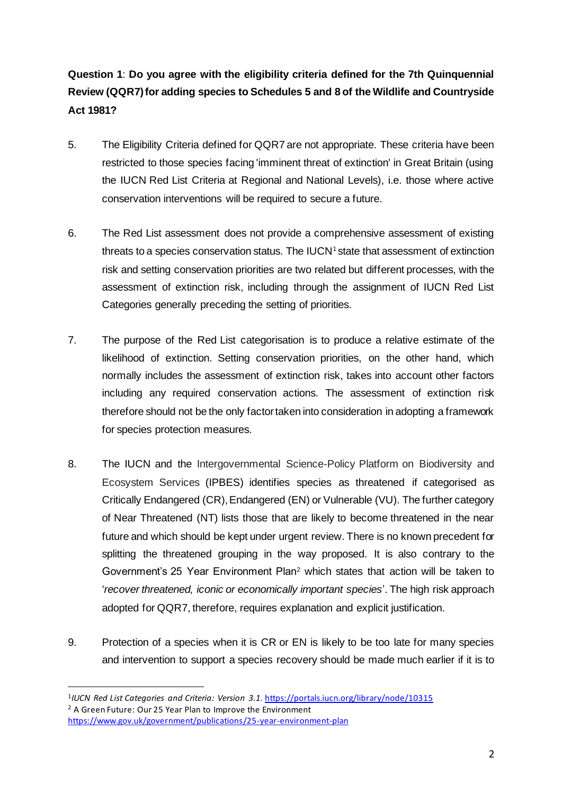### **Question 1**: **Do you agree with the eligibility criteria defined for the 7th Quinquennial Review (QQR7) for adding species to Schedules 5 and 8 of the Wildlife and Countryside Act 1981?**

- 5. The Eligibility Criteria defined for QQR7 are not appropriate. These criteria have been restricted to those species facing 'imminent threat of extinction' in Great Britain (using the IUCN Red List Criteria at Regional and National Levels), i.e. those where active conservation interventions will be required to secure a future.
- 6. The Red List assessment does not provide a comprehensive assessment of existing threats to a species conservation status. The IUCN<sup>1</sup> state that assessment of extinction risk and setting conservation priorities are two related but different processes, with the assessment of extinction risk, including through the assignment of IUCN Red List Categories generally preceding the setting of priorities.
- 7. The purpose of the Red List categorisation is to produce a relative estimate of the likelihood of extinction. Setting conservation priorities, on the other hand, which normally includes the assessment of extinction risk, takes into account other factors including any required conservation actions. The assessment of extinction risk therefore should not be the only factor taken into consideration in adopting a framework for species protection measures.
- 8. The IUCN and the Intergovernmental Science-Policy Platform on Biodiversity and Ecosystem Services (IPBES) identifies species as threatened if categorised as Critically Endangered (CR), Endangered (EN) or Vulnerable (VU). The further category of Near Threatened (NT) lists those that are likely to become threatened in the near future and which should be kept under urgent review. There is no known precedent for splitting the threatened grouping in the way proposed. It is also contrary to the Government's 25 Year Environment Plan<sup>2</sup> which states that action will be taken to '*recover threatened, iconic or economically important species*'. The high risk approach adopted for QQR7, therefore, requires explanation and explicit justification.
- 9. Protection of a species when it is CR or EN is likely to be too late for many species and intervention to support a species recovery should be made much earlier if it is to

<sup>1</sup> *IUCN Red List Categories and Criteria: Version 3.1.* <https://portals.iucn.org/library/node/10315> <sup>2</sup> A Green Future: Our 25 Year Plan to Improve the Environment <https://www.gov.uk/government/publications/25-year-environment-plan>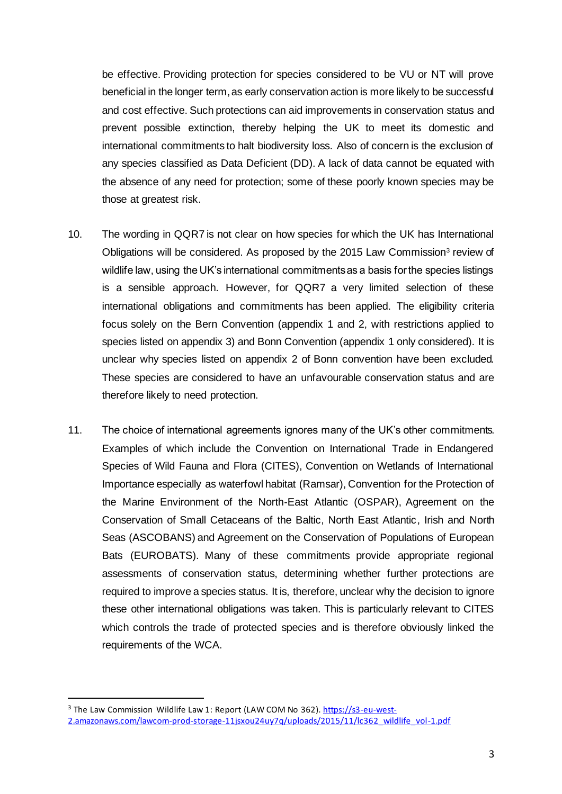be effective. Providing protection for species considered to be VU or NT will prove beneficial in the longer term, as early conservation action is more likely to be successful and cost effective. Such protections can aid improvements in conservation status and prevent possible extinction, thereby helping the UK to meet its domestic and international commitments to halt biodiversity loss. Also of concern is the exclusion of any species classified as Data Deficient (DD). A lack of data cannot be equated with the absence of any need for protection; some of these poorly known species may be those at greatest risk.

- 10. The wording in QQR7 is not clear on how species for which the UK has International Obligations will be considered. As proposed by the 2015 Law Commission<sup>3</sup> review of wildlife law, using the UK's international commitments as a basis for the species listings is a sensible approach. However, for QQR7 a very limited selection of these international obligations and commitments has been applied. The eligibility criteria focus solely on the Bern Convention (appendix 1 and 2, with restrictions applied to species listed on appendix 3) and Bonn Convention (appendix 1 only considered). It is unclear why species listed on appendix 2 of Bonn convention have been excluded. These species are considered to have an unfavourable conservation status and are therefore likely to need protection.
- 11. The choice of international agreements ignores many of the UK's other commitments. Examples of which include the Convention on International Trade in Endangered Species of Wild Fauna and Flora (CITES), Convention on Wetlands of International Importance especially as waterfowl habitat (Ramsar), Convention for the Protection of the Marine Environment of the North-East Atlantic (OSPAR), Agreement on the Conservation of Small Cetaceans of the Baltic, North East Atlantic, Irish and North Seas (ASCOBANS) and Agreement on the Conservation of Populations of European Bats (EUROBATS). Many of these commitments provide appropriate regional assessments of conservation status, determining whether further protections are required to improve a species status. It is, therefore, unclear why the decision to ignore these other international obligations was taken. This is particularly relevant to CITES which controls the trade of protected species and is therefore obviously linked the requirements of the WCA.

<sup>&</sup>lt;sup>3</sup> The Law Commission Wildlife Law 1: Report (LAW COM No 362)[. https://s3-eu-west-](https://s3-eu-west-2.amazonaws.com/lawcom-prod-storage-11jsxou24uy7q/uploads/2015/11/lc362_wildlife_vol-1.pdf)[2.amazonaws.com/lawcom-prod-storage-11jsxou24uy7q/uploads/2015/11/lc362\\_wildlife\\_vol-1.pdf](https://s3-eu-west-2.amazonaws.com/lawcom-prod-storage-11jsxou24uy7q/uploads/2015/11/lc362_wildlife_vol-1.pdf)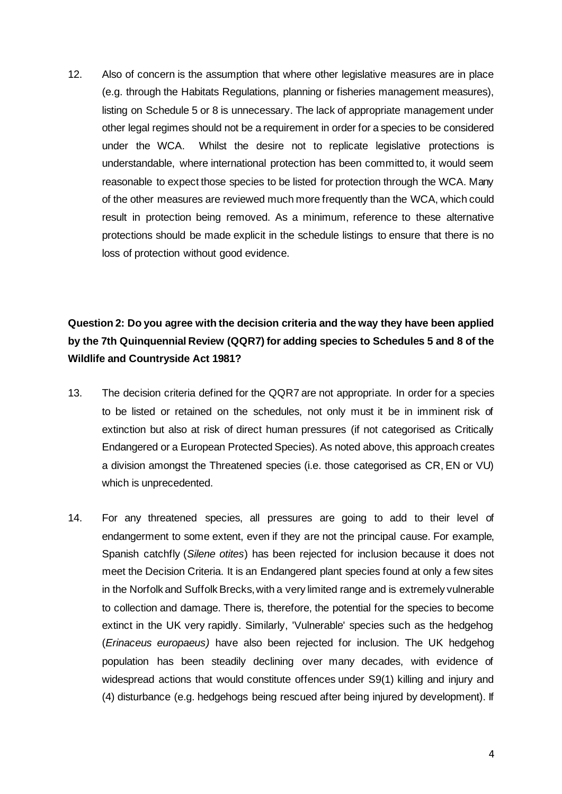12. Also of concern is the assumption that where other legislative measures are in place (e.g. through the Habitats Regulations, planning or fisheries management measures), listing on Schedule 5 or 8 is unnecessary. The lack of appropriate management under other legal regimes should not be a requirement in order for a species to be considered under the WCA. Whilst the desire not to replicate legislative protections is understandable, where international protection has been committed to, it would seem reasonable to expect those species to be listed for protection through the WCA. Many of the other measures are reviewed much more frequently than the WCA, which could result in protection being removed. As a minimum, reference to these alternative protections should be made explicit in the schedule listings to ensure that there is no loss of protection without good evidence.

### **Question 2: Do you agree with the decision criteria and the way they have been applied by the 7th Quinquennial Review (QQR7) for adding species to Schedules 5 and 8 of the Wildlife and Countryside Act 1981?**

- 13. The decision criteria defined for the QQR7 are not appropriate. In order for a species to be listed or retained on the schedules, not only must it be in imminent risk of extinction but also at risk of direct human pressures (if not categorised as Critically Endangered or a European Protected Species). As noted above, this approach creates a division amongst the Threatened species (i.e. those categorised as CR, EN or VU) which is unprecedented.
- 14. For any threatened species, all pressures are going to add to their level of endangerment to some extent, even if they are not the principal cause. For example, Spanish catchfly (*Silene otites*) has been rejected for inclusion because it does not meet the Decision Criteria. It is an Endangered plant species found at only a few sites in the Norfolk and Suffolk Brecks, with a very limited range and is extremely vulnerable to collection and damage. There is, therefore, the potential for the species to become extinct in the UK very rapidly. Similarly, 'Vulnerable' species such as the hedgehog (*Erinaceus europaeus)* have also been rejected for inclusion. The UK hedgehog population has been steadily declining over many decades, with evidence of widespread actions that would constitute offences under S9(1) killing and injury and (4) disturbance (e.g. hedgehogs being rescued after being injured by development). If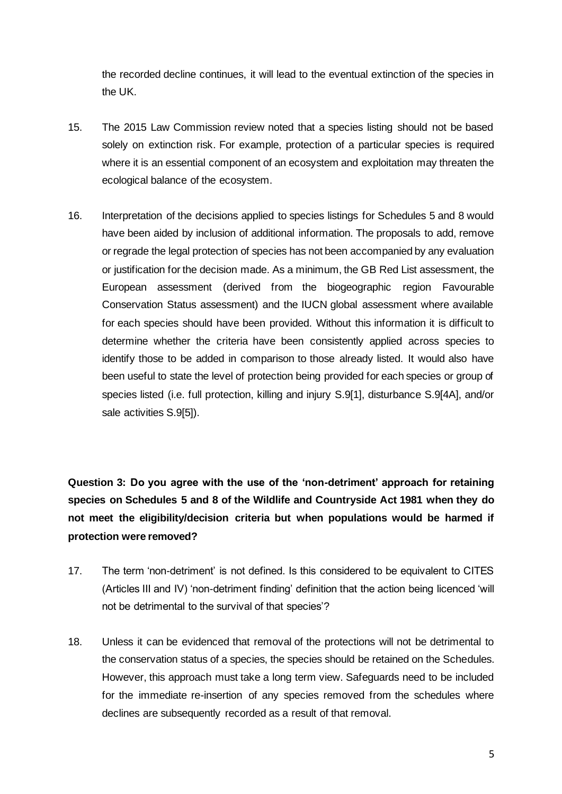the recorded decline continues, it will lead to the eventual extinction of the species in the UK.

- 15. The 2015 Law Commission review noted that a species listing should not be based solely on extinction risk. For example, protection of a particular species is required where it is an essential component of an ecosystem and exploitation may threaten the ecological balance of the ecosystem.
- 16. Interpretation of the decisions applied to species listings for Schedules 5 and 8 would have been aided by inclusion of additional information. The proposals to add, remove or regrade the legal protection of species has not been accompanied by any evaluation or justification for the decision made. As a minimum, the GB Red List assessment, the European assessment (derived from the biogeographic region Favourable Conservation Status assessment) and the IUCN global assessment where available for each species should have been provided. Without this information it is difficult to determine whether the criteria have been consistently applied across species to identify those to be added in comparison to those already listed. It would also have been useful to state the level of protection being provided for each species or group of species listed (i.e. full protection, killing and injury S.9[1], disturbance S.9[4A], and/or sale activities S.9[5]).

**Question 3: Do you agree with the use of the 'non-detriment' approach for retaining species on Schedules 5 and 8 of the Wildlife and Countryside Act 1981 when they do not meet the eligibility/decision criteria but when populations would be harmed if protection were removed?**

- 17. The term 'non-detriment' is not defined. Is this considered to be equivalent to CITES (Articles III and IV) 'non-detriment finding' definition that the action being licenced 'will not be detrimental to the survival of that species'?
- 18. Unless it can be evidenced that removal of the protections will not be detrimental to the conservation status of a species, the species should be retained on the Schedules. However, this approach must take a long term view. Safeguards need to be included for the immediate re-insertion of any species removed from the schedules where declines are subsequently recorded as a result of that removal.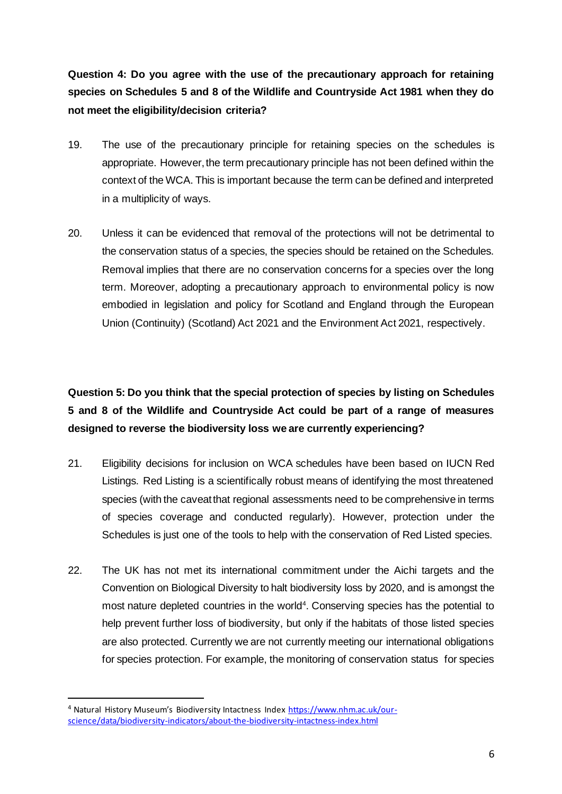**Question 4: Do you agree with the use of the precautionary approach for retaining species on Schedules 5 and 8 of the Wildlife and Countryside Act 1981 when they do not meet the eligibility/decision criteria?**

- 19. The use of the precautionary principle for retaining species on the schedules is appropriate. However, the term precautionary principle has not been defined within the context of the WCA. This is important because the term can be defined and interpreted in a multiplicity of ways.
- 20. Unless it can be evidenced that removal of the protections will not be detrimental to the conservation status of a species, the species should be retained on the Schedules. Removal implies that there are no conservation concerns for a species over the long term. Moreover, adopting a precautionary approach to environmental policy is now embodied in legislation and policy for Scotland and England through the European Union (Continuity) (Scotland) Act 2021 and the Environment Act 2021, respectively.

### **Question 5: Do you think that the special protection of species by listing on Schedules 5 and 8 of the Wildlife and Countryside Act could be part of a range of measures designed to reverse the biodiversity loss we are currently experiencing?**

- 21. Eligibility decisions for inclusion on WCA schedules have been based on IUCN Red Listings. Red Listing is a scientifically robust means of identifying the most threatened species (with the caveat that regional assessments need to be comprehensive in terms of species coverage and conducted regularly). However, protection under the Schedules is just one of the tools to help with the conservation of Red Listed species.
- 22. The UK has not met its international commitment under the Aichi targets and the Convention on Biological Diversity to halt biodiversity loss by 2020, and is amongst the most nature depleted countries in the world<sup>4</sup>. Conserving species has the potential to help prevent further loss of biodiversity, but only if the habitats of those listed species are also protected. Currently we are not currently meeting our international obligations for species protection. For example, the monitoring of conservation status for species

<sup>4</sup> Natural History Museum's Biodiversity Intactness Index [https://www.nhm.ac.uk/our](https://www.nhm.ac.uk/our-science/data/biodiversity-indicators/about-the-biodiversity-intactness-index.html)[science/data/biodiversity-indicators/about-the-biodiversity-intactness-index.html](https://www.nhm.ac.uk/our-science/data/biodiversity-indicators/about-the-biodiversity-intactness-index.html)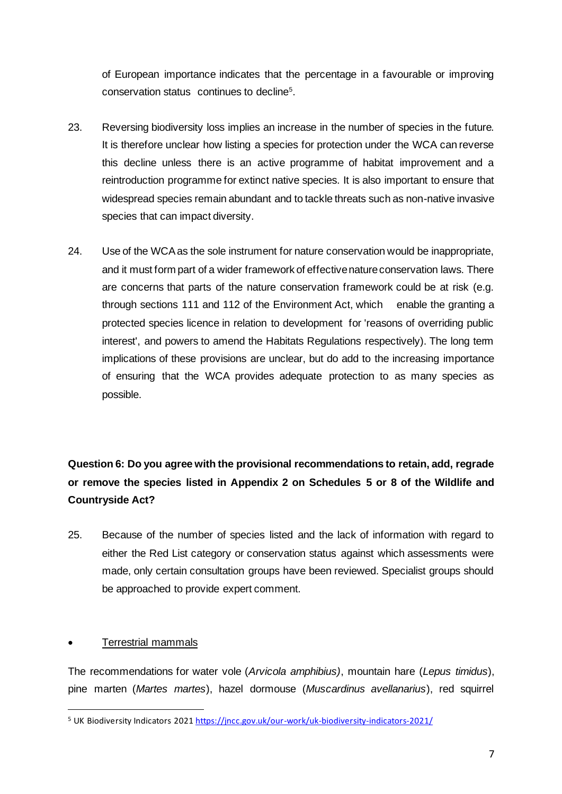of European importance indicates that the percentage in a favourable or improving conservation status continues to decline<sup>5</sup>.

- 23. Reversing biodiversity loss implies an increase in the number of species in the future. It is therefore unclear how listing a species for protection under the WCA can reverse this decline unless there is an active programme of habitat improvement and a reintroduction programme for extinct native species. It is also important to ensure that widespread species remain abundant and to tackle threats such as non-native invasive species that can impact diversity.
- 24. Use of the WCA as the sole instrument for nature conservation would be inappropriate, and it must form part of a wider framework of effective nature conservation laws. There are concerns that parts of the nature conservation framework could be at risk (e.g. through sections 111 and 112 of the Environment Act, which enable the granting a protected species licence in relation to development for 'reasons of overriding public interest', and powers to amend the Habitats Regulations respectively). The long term implications of these provisions are unclear, but do add to the increasing importance of ensuring that the WCA provides adequate protection to as many species as possible.

## **Question 6: Do you agree with the provisional recommendations to retain, add, regrade or remove the species listed in Appendix 2 on Schedules 5 or 8 of the Wildlife and Countryside Act?**

25. Because of the number of species listed and the lack of information with regard to either the Red List category or conservation status against which assessments were made, only certain consultation groups have been reviewed. Specialist groups should be approached to provide expert comment.

#### • Terrestrial mammals

The recommendations for water vole (*Arvicola amphibius)*, mountain hare (*Lepus timidus*), pine marten (*Martes martes*), hazel dormouse (*Muscardinus avellanarius*), red squirrel

<sup>&</sup>lt;sup>5</sup> UK Biodiversity Indicators 202[1 https://jncc.gov.uk/our-work/uk-biodiversity-indicators-2021/](https://jncc.gov.uk/our-work/uk-biodiversity-indicators-2021/)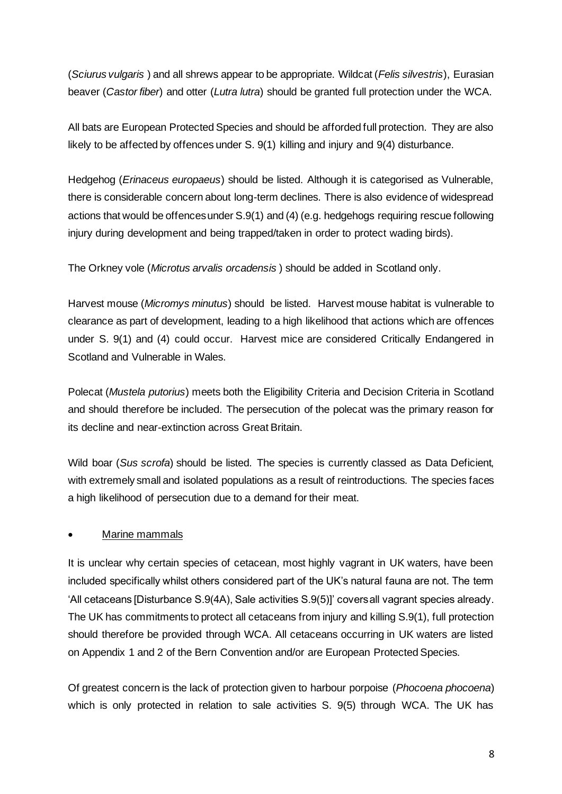(*Sciurus vulgaris* ) and all shrews appear to be appropriate. Wildcat (*Felis silvestris*), Eurasian beaver (*Castor fiber*) and otter (*Lutra lutra*) should be granted full protection under the WCA.

All bats are European Protected Species and should be afforded full protection. They are also likely to be affected by offences under S. 9(1) killing and injury and 9(4) disturbance.

Hedgehog (*Erinaceus europaeus*) should be listed. Although it is categorised as Vulnerable, there is considerable concern about long-term declines. There is also evidence of widespread actions that would be offences under S.9(1) and (4) (e.g. hedgehogs requiring rescue following injury during development and being trapped/taken in order to protect wading birds).

The Orkney vole (*Microtus arvalis orcadensis* ) should be added in Scotland only.

Harvest mouse (*Micromys minutus*) should be listed. Harvest mouse habitat is vulnerable to clearance as part of development, leading to a high likelihood that actions which are offences under S. 9(1) and (4) could occur. Harvest mice are considered Critically Endangered in Scotland and Vulnerable in Wales.

Polecat (*Mustela putorius*) meets both the Eligibility Criteria and Decision Criteria in Scotland and should therefore be included. The persecution of the polecat was the primary reason for its decline and near-extinction across Great Britain.

Wild boar (*Sus scrofa*) should be listed. The species is currently classed as Data Deficient, with extremely small and isolated populations as a result of reintroductions. The species faces a high likelihood of persecution due to a demand for their meat.

#### • Marine mammals

It is unclear why certain species of cetacean, most highly vagrant in UK waters, have been included specifically whilst others considered part of the UK's natural fauna are not. The term 'All cetaceans [Disturbance S.9(4A), Sale activities S.9(5)]' covers all vagrant species already. The UK has commitments to protect all cetaceans from injury and killing S.9(1), full protection should therefore be provided through WCA. All cetaceans occurring in UK waters are listed on Appendix 1 and 2 of the Bern Convention and/or are European Protected Species.

Of greatest concern is the lack of protection given to harbour porpoise (*Phocoena phocoena*) which is only protected in relation to sale activities S. 9(5) through WCA. The UK has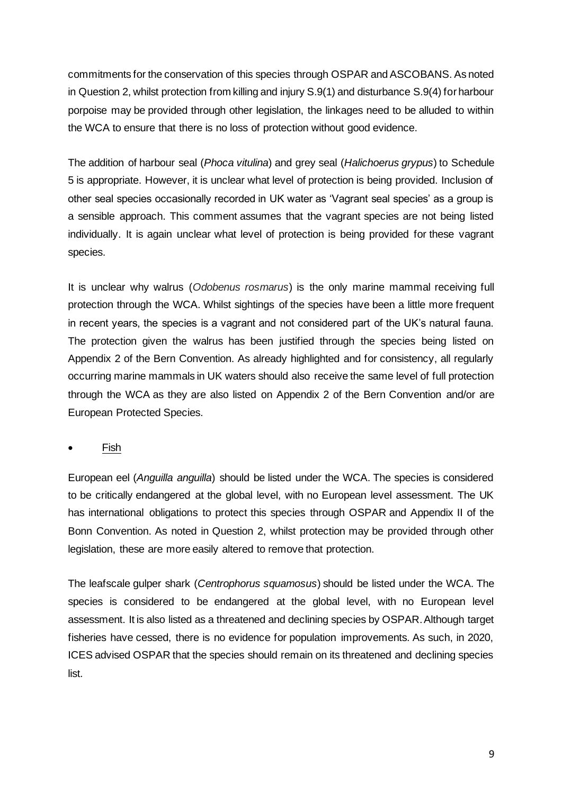commitments for the conservation of this species through OSPAR and ASCOBANS. As noted in Question 2, whilst protection from killing and injury S.9(1) and disturbance S.9(4) for harbour porpoise may be provided through other legislation, the linkages need to be alluded to within the WCA to ensure that there is no loss of protection without good evidence.

The addition of harbour seal (*Phoca vitulina*) and grey seal (*Halichoerus grypus*) to Schedule 5 is appropriate. However, it is unclear what level of protection is being provided. Inclusion of other seal species occasionally recorded in UK water as 'Vagrant seal species' as a group is a sensible approach. This comment assumes that the vagrant species are not being listed individually. It is again unclear what level of protection is being provided for these vagrant species.

It is unclear why walrus (*Odobenus rosmarus*) is the only marine mammal receiving full protection through the WCA. Whilst sightings of the species have been a little more frequent in recent years, the species is a vagrant and not considered part of the UK's natural fauna. The protection given the walrus has been justified through the species being listed on Appendix 2 of the Bern Convention. As already highlighted and for consistency, all regularly occurring marine mammals in UK waters should also receive the same level of full protection through the WCA as they are also listed on Appendix 2 of the Bern Convention and/or are European Protected Species.

• Fish

European eel (*Anguilla anguilla*) should be listed under the WCA. The species is considered to be critically endangered at the global level, with no European level assessment. The UK has international obligations to protect this species through OSPAR and Appendix II of the Bonn Convention. As noted in Question 2, whilst protection may be provided through other legislation, these are more easily altered to remove that protection.

The leafscale gulper shark (*Centrophorus squamosus*) should be listed under the WCA. The species is considered to be endangered at the global level, with no European level assessment. It is also listed as a threatened and declining species by OSPAR. Although target fisheries have cessed, there is no evidence for population improvements. As such, in 2020, ICES advised OSPAR that the species should remain on its threatened and declining species list.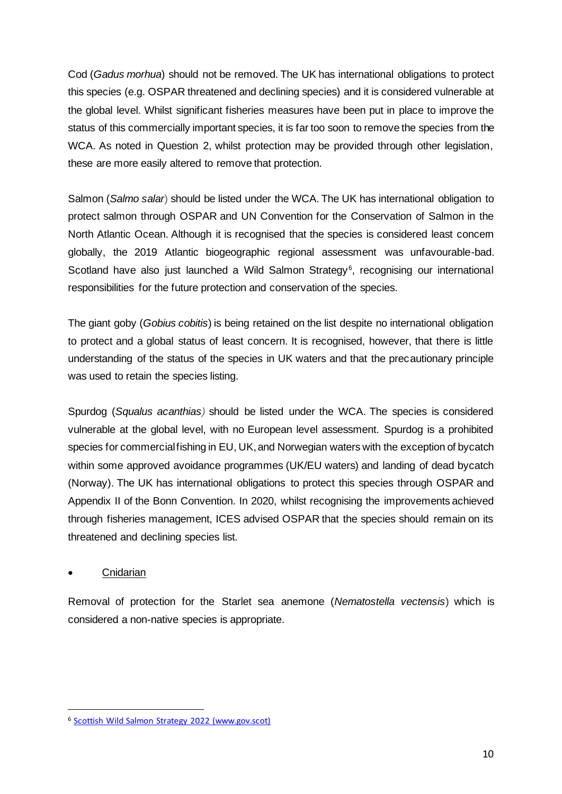Cod (*Gadus morhua*) should not be removed. The UK has international obligations to protect this species (e.g. OSPAR threatened and declining species) and it is considered vulnerable at the global level. Whilst significant fisheries measures have been put in place to improve the status of this commercially important species, it is far too soon to remove the species from the WCA. As noted in Question 2, whilst protection may be provided through other legislation, these are more easily altered to remove that protection.

Salmon (*Salmo salar*) should be listed under the WCA. The UK has international obligation to protect salmon through OSPAR and UN Convention for the Conservation of Salmon in the North Atlantic Ocean. Although it is recognised that the species is considered least concern globally, the 2019 Atlantic biogeographic regional assessment was unfavourable-bad. Scotland have also just launched a Wild Salmon Strategy<sup>6</sup>, recognising our international responsibilities for the future protection and conservation of the species.

The giant goby (*Gobius cobitis*) is being retained on the list despite no international obligation to protect and a global status of least concern. It is recognised, however, that there is little understanding of the status of the species in UK waters and that the precautionary principle was used to retain the species listing.

Spurdog (*Squalus acanthias)* should be listed under the WCA. The species is considered vulnerable at the global level, with no European level assessment. Spurdog is a prohibited species for commercial fishing in EU, UK, and Norwegian waters with the exception of bycatch within some approved avoidance programmes (UK/EU waters) and landing of dead bycatch (Norway). The UK has international obligations to protect this species through OSPAR and Appendix II of the Bonn Convention. In 2020, whilst recognising the improvements achieved through fisheries management, ICES advised OSPAR that the species should remain on its threatened and declining species list.

#### **Cnidarian**

Removal of protection for the Starlet sea anemone (*Nematostella vectensis*) which is considered a non-native species is appropriate.

<sup>6</sup> Scottish Wild Salmon Strategy 2022 (www.gov.scot)